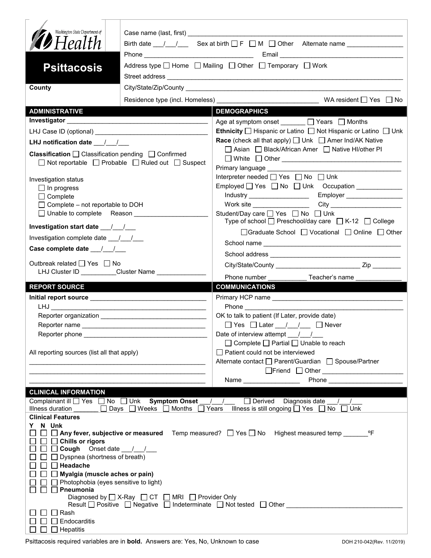| Washington State Department of                                                                           |                                                                                     |                                                                                                                                                                                                                                                                                                          |  |
|----------------------------------------------------------------------------------------------------------|-------------------------------------------------------------------------------------|----------------------------------------------------------------------------------------------------------------------------------------------------------------------------------------------------------------------------------------------------------------------------------------------------------|--|
| <b>D</b> Health                                                                                          |                                                                                     |                                                                                                                                                                                                                                                                                                          |  |
|                                                                                                          |                                                                                     |                                                                                                                                                                                                                                                                                                          |  |
| <b>Psittacosis</b>                                                                                       | Address type □ Home □ Mailing □ Other □ Temporary □ Work                            |                                                                                                                                                                                                                                                                                                          |  |
| County                                                                                                   |                                                                                     |                                                                                                                                                                                                                                                                                                          |  |
|                                                                                                          |                                                                                     |                                                                                                                                                                                                                                                                                                          |  |
| <b>ADMINISTRATIVE</b>                                                                                    |                                                                                     | <b>DEMOGRAPHICS</b>                                                                                                                                                                                                                                                                                      |  |
|                                                                                                          |                                                                                     | Age at symptom onset ______ □ Years □ Months                                                                                                                                                                                                                                                             |  |
|                                                                                                          |                                                                                     | <b>Ethnicity</b> $\Box$ Hispanic or Latino $\Box$ Not Hispanic or Latino $\Box$ Unk                                                                                                                                                                                                                      |  |
| LHJ notification date $\frac{1}{2}$                                                                      |                                                                                     | <b>Race</b> (check all that apply) $\Box$ Unk $\Box$ Amer Ind/AK Native                                                                                                                                                                                                                                  |  |
| Classification □ Classification pending □ Confirmed<br>□ Not reportable □ Probable □ Ruled out □ Suspect |                                                                                     | □ Asian □ Black/African Amer □ Native HI/other PI                                                                                                                                                                                                                                                        |  |
|                                                                                                          |                                                                                     |                                                                                                                                                                                                                                                                                                          |  |
| Investigation status                                                                                     |                                                                                     | Interpreter needed <sub>D</sub> Yes <sub>D</sub> No DUnk<br>Employed   Yes   No   Unk Occupation ____________                                                                                                                                                                                            |  |
| $\Box$ In progress<br>$\Box$ Complete                                                                    |                                                                                     |                                                                                                                                                                                                                                                                                                          |  |
| $\Box$ Complete – not reportable to DOH                                                                  |                                                                                     |                                                                                                                                                                                                                                                                                                          |  |
| □ Unable to complete Reason                                                                              |                                                                                     | Student/Day care <u>Sine Student</u> /Day on Bossey on Bossey<br>Type of school $\Box$ Preschool/day care $\Box$ K-12 $\Box$ College                                                                                                                                                                     |  |
| Investigation start date __/__/__                                                                        |                                                                                     | □Graduate School □ Vocational □ Online □ Other                                                                                                                                                                                                                                                           |  |
| Investigation complete date 11/1                                                                         |                                                                                     |                                                                                                                                                                                                                                                                                                          |  |
| Case complete date __/_/__/                                                                              |                                                                                     |                                                                                                                                                                                                                                                                                                          |  |
| Outbreak related □ Yes □ No                                                                              | LHJ Cluster ID _________Cluster Name ______________                                 |                                                                                                                                                                                                                                                                                                          |  |
|                                                                                                          |                                                                                     | Phone number <b>Example</b><br>Teacher's name                                                                                                                                                                                                                                                            |  |
| <b>REPORT SOURCE</b>                                                                                     |                                                                                     | <b>COMMUNICATIONS</b>                                                                                                                                                                                                                                                                                    |  |
|                                                                                                          |                                                                                     |                                                                                                                                                                                                                                                                                                          |  |
|                                                                                                          |                                                                                     |                                                                                                                                                                                                                                                                                                          |  |
|                                                                                                          |                                                                                     |                                                                                                                                                                                                                                                                                                          |  |
|                                                                                                          |                                                                                     | OK to talk to patient (If Later, provide date)<br>□ Yes □ Later __/ _/ __ □ Never                                                                                                                                                                                                                        |  |
| Reporter phone                                                                                           |                                                                                     | Date of interview attempt / /                                                                                                                                                                                                                                                                            |  |
|                                                                                                          |                                                                                     | □ Complete □ Partial □ Unable to reach                                                                                                                                                                                                                                                                   |  |
| All reporting sources (list all that apply)                                                              |                                                                                     | $\Box$ Patient could not be interviewed                                                                                                                                                                                                                                                                  |  |
|                                                                                                          | <u> 1989 - Johann John Stone, mars et al. (1989)</u>                                | Alternate contact □ Parent/Guardian □ Spouse/Partner                                                                                                                                                                                                                                                     |  |
|                                                                                                          |                                                                                     | □Friend □ Other ________________________<br><b>Phone Contract Contract Contract Contract Contract Contract Contract Contract Contract Contract Contract Contract Contract Contract Contract Contract Contract Contract Contract Contract Contract Contract Contract Contra</b><br>Name _________________ |  |
| <b>CLINICAL INFORMATION</b>                                                                              |                                                                                     |                                                                                                                                                                                                                                                                                                          |  |
| Illness duration                                                                                         | Complainant ill U Yes I No Unk Symptom Onset / /<br>□ Days □ Weeks □ Months □ Years | $\Box$ Derived Diagnosis date / /<br>Illness is still ongoing $\Box$ Yes $\Box$ No $\Box$ Unk                                                                                                                                                                                                            |  |
| <b>Clinical Features</b>                                                                                 |                                                                                     |                                                                                                                                                                                                                                                                                                          |  |
| N Unk<br>Y.                                                                                              |                                                                                     |                                                                                                                                                                                                                                                                                                          |  |
| $\Box$ Chills or rigors                                                                                  |                                                                                     |                                                                                                                                                                                                                                                                                                          |  |
| $\Box$ Cough Onset date $\_\_\_\_\_\_\_\_\_\_\_\$                                                        |                                                                                     |                                                                                                                                                                                                                                                                                                          |  |
| $\Box$ Dyspnea (shortness of breath)                                                                     |                                                                                     |                                                                                                                                                                                                                                                                                                          |  |
| $\Box$ Headache<br>$\Box$ Myalgia (muscle aches or pain)                                                 |                                                                                     |                                                                                                                                                                                                                                                                                                          |  |
| $\Box$ Photophobia (eyes sensitive to light)                                                             |                                                                                     |                                                                                                                                                                                                                                                                                                          |  |
| $\Box$ Pneumonia<br>$\Box$                                                                               | Diagnosed by $\Box$ X-Ray $\Box$ CT $\Box$ MRI $\Box$ Provider Only                 |                                                                                                                                                                                                                                                                                                          |  |
|                                                                                                          |                                                                                     | Result $\Box$ Positive $\Box$ Negative $\Box$ Indeterminate $\Box$ Not tested $\Box$ Other                                                                                                                                                                                                               |  |
| $\Box$ Rash<br>Endocarditis                                                                              |                                                                                     |                                                                                                                                                                                                                                                                                                          |  |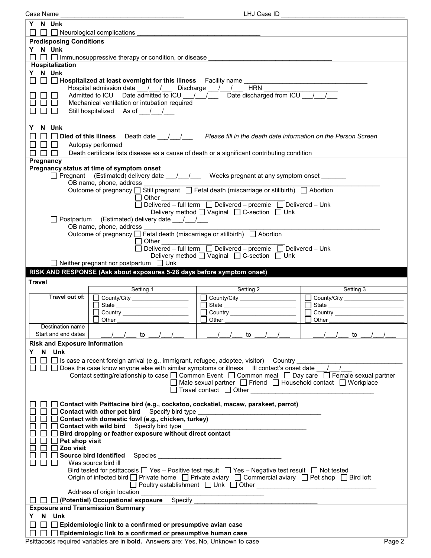| Case Name                                                                                                                                         | LHJ Case ID                                                                                                       |           |  |  |  |
|---------------------------------------------------------------------------------------------------------------------------------------------------|-------------------------------------------------------------------------------------------------------------------|-----------|--|--|--|
| Y N Unk<br>$\Box$ $\Box$ Neurological complications                                                                                               |                                                                                                                   |           |  |  |  |
| <b>Predisposing Conditions</b>                                                                                                                    |                                                                                                                   |           |  |  |  |
| Y N Unk<br>$\Box$ $\Box$ Immunosuppressive therapy or condition, or disease                                                                       |                                                                                                                   |           |  |  |  |
| Hospitalization                                                                                                                                   |                                                                                                                   |           |  |  |  |
| Y N Unk                                                                                                                                           |                                                                                                                   |           |  |  |  |
| $\Box$ $\Box$ Hospitalized at least overnight for this illness Facility name $\_\_\_\_\_\_\_\_\_\_\_\_\_\_\_\_\_\_\_\_\_\_\_\_\_\_\_\_\_\_\_\_\_$ |                                                                                                                   |           |  |  |  |
|                                                                                                                                                   |                                                                                                                   |           |  |  |  |
|                                                                                                                                                   |                                                                                                                   |           |  |  |  |
|                                                                                                                                                   | Mechanical ventilation or intubation required                                                                     |           |  |  |  |
| Still hospitalized As of / /                                                                                                                      |                                                                                                                   |           |  |  |  |
|                                                                                                                                                   |                                                                                                                   |           |  |  |  |
| N Unk<br>Y                                                                                                                                        |                                                                                                                   |           |  |  |  |
|                                                                                                                                                   |                                                                                                                   |           |  |  |  |
| □ Died of this illness Death date __/__/ __ Please fill in the death date information on the Person Screen                                        |                                                                                                                   |           |  |  |  |
| П⊔<br>Autopsy performed                                                                                                                           |                                                                                                                   |           |  |  |  |
| $\Box$<br>ПП                                                                                                                                      | Death certificate lists disease as a cause of death or a significant contributing condition                       |           |  |  |  |
| Pregnancy                                                                                                                                         |                                                                                                                   |           |  |  |  |
| Pregnancy status at time of symptom onset                                                                                                         |                                                                                                                   |           |  |  |  |
|                                                                                                                                                   | □ Pregnant (Estimated) delivery date __/__/ __ Weeks pregnant at any symptom onset ______                         |           |  |  |  |
| OB name, phone, address                                                                                                                           |                                                                                                                   |           |  |  |  |
|                                                                                                                                                   | Outcome of pregnancy □ Still pregnant □ Fetal death (miscarriage or stillbirth) □ Abortion                        |           |  |  |  |
|                                                                                                                                                   | $\Box$ Other                                                                                                      |           |  |  |  |
|                                                                                                                                                   | Delivered – full term Delivered – preemie Delivered – Unk                                                         |           |  |  |  |
|                                                                                                                                                   | Delivery method <u>□</u> Vaginal □ C-section □ Unk                                                                |           |  |  |  |
| Postpartum (Estimated) delivery date 11                                                                                                           |                                                                                                                   |           |  |  |  |
| OB name, phone, address                                                                                                                           |                                                                                                                   |           |  |  |  |
|                                                                                                                                                   | Outcome of pregnancy □ Fetal death (miscarriage or stillbirth) □ Abortion                                         |           |  |  |  |
| $\Box$ Other                                                                                                                                      |                                                                                                                   |           |  |  |  |
|                                                                                                                                                   | Delivered – full term  Delivered – preemie  Delivered – Unk                                                       |           |  |  |  |
|                                                                                                                                                   | Delivery method [ Vaginal [ C-section [ Unk                                                                       |           |  |  |  |
| $\Box$ Neither pregnant nor postpartum $\Box$ Unk                                                                                                 |                                                                                                                   |           |  |  |  |
|                                                                                                                                                   |                                                                                                                   |           |  |  |  |
|                                                                                                                                                   |                                                                                                                   |           |  |  |  |
| RISK AND RESPONSE (Ask about exposures 5-28 days before symptom onset)                                                                            |                                                                                                                   |           |  |  |  |
| <b>Travel</b>                                                                                                                                     |                                                                                                                   |           |  |  |  |
| Setting 1                                                                                                                                         | Setting 2                                                                                                         | Setting 3 |  |  |  |
| Travel out of:  <br>$\Box$ County/City ___________________                                                                                        | $\Box$ County/City __________________                                                                             | $\Box$    |  |  |  |
| State _________________________                                                                                                                   | State _________________________                                                                                   | $\Box$    |  |  |  |
|                                                                                                                                                   | $\Box$ Country $\Box$                                                                                             | ⊔         |  |  |  |
| Other                                                                                                                                             | │ │ Other                                                                                                         | Other     |  |  |  |
| Destination name                                                                                                                                  |                                                                                                                   |           |  |  |  |
| Start and end dates<br>to                                                                                                                         | to                                                                                                                | to        |  |  |  |
|                                                                                                                                                   |                                                                                                                   |           |  |  |  |
| <b>Risk and Exposure Information</b>                                                                                                              |                                                                                                                   |           |  |  |  |
| N Unk<br>Y.                                                                                                                                       |                                                                                                                   |           |  |  |  |
|                                                                                                                                                   | □ Is case a recent foreign arrival (e.g., immigrant, refugee, adoptee, visitor) Country                           |           |  |  |  |
|                                                                                                                                                   | Does the case know anyone else with similar symptoms or illness III contact's onset date                          |           |  |  |  |
|                                                                                                                                                   | Contact setting/relationship to case □ Common Event □ Common meal □ Day care □ Female sexual partner              |           |  |  |  |
|                                                                                                                                                   | Male sexual partner □ Friend □ Household contact □ Workplace                                                      |           |  |  |  |
|                                                                                                                                                   | $\Box$ Travel contact $\Box$ Other                                                                                |           |  |  |  |
|                                                                                                                                                   |                                                                                                                   |           |  |  |  |
|                                                                                                                                                   | Contact with Psittacine bird (e.g., cockatoo, cockatiel, macaw, parakeet, parrot)                                 |           |  |  |  |
| Contact with other pet bird Specify bird type                                                                                                     |                                                                                                                   |           |  |  |  |
| Contact with domestic fowl (e.g., chicken, turkey)                                                                                                |                                                                                                                   |           |  |  |  |
| <b>Contact with wild bird</b> Specify bird type                                                                                                   |                                                                                                                   |           |  |  |  |
| Bird dropping or feather exposure without direct contact                                                                                          |                                                                                                                   |           |  |  |  |
| Pet shop visit                                                                                                                                    |                                                                                                                   |           |  |  |  |
| Zoo visit                                                                                                                                         |                                                                                                                   |           |  |  |  |
| <b>Source bird identified</b> Species                                                                                                             | <u> 1989 - Johann Barbara, martin amerikan basar da</u>                                                           |           |  |  |  |
| Was source bird ill                                                                                                                               |                                                                                                                   |           |  |  |  |
|                                                                                                                                                   | Bird tested for psittacosis $\Box$ Yes – Positive test result $\Box$ Yes – Negative test result $\Box$ Not tested |           |  |  |  |
|                                                                                                                                                   | Origin of infected bird □ Private home □ Private aviary □ Commercial aviary □ Pet shop □ Bird loft                |           |  |  |  |
|                                                                                                                                                   |                                                                                                                   |           |  |  |  |
| Address of origin location <b>contains a manufacturer of the state of origin</b>                                                                  |                                                                                                                   |           |  |  |  |
|                                                                                                                                                   |                                                                                                                   |           |  |  |  |
| $\Box$ (Potential) Occupational exposure Specify                                                                                                  |                                                                                                                   |           |  |  |  |
| <b>Exposure and Transmission Summary</b>                                                                                                          |                                                                                                                   |           |  |  |  |
| N Unk<br>Y.                                                                                                                                       |                                                                                                                   |           |  |  |  |
| Epidemiologic link to a confirmed or presumptive avian case<br>Epidemiologic link to a confirmed or presumptive human case                        |                                                                                                                   |           |  |  |  |

Psittacosis required variables are in **bold.** Answers are: Yes, No, Unknown to case Page 2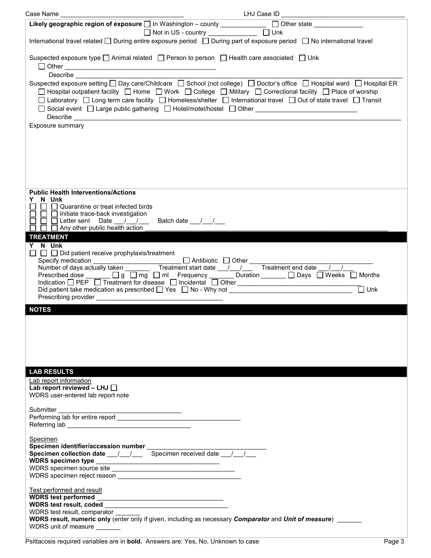| Case Name                                                                                                                                                                                                            | LHJ Case ID                                                                                                                                                                                                                                                                                                                                                                                                                                                                                                                                                                                                                                                                                               |
|----------------------------------------------------------------------------------------------------------------------------------------------------------------------------------------------------------------------|-----------------------------------------------------------------------------------------------------------------------------------------------------------------------------------------------------------------------------------------------------------------------------------------------------------------------------------------------------------------------------------------------------------------------------------------------------------------------------------------------------------------------------------------------------------------------------------------------------------------------------------------------------------------------------------------------------------|
| Likely geographic region of exposure and Washington - county ____________                                                                                                                                            | $\Box$ Other state $\_\_\_\_\_\_\_\_\_\_\_\_\_\_\_\_\_\_\_$                                                                                                                                                                                                                                                                                                                                                                                                                                                                                                                                                                                                                                               |
|                                                                                                                                                                                                                      | □ Not in US - country _______________ □ Unk<br>International travel related $\Box$ During entire exposure period $\Box$ During part of exposure period $\Box$ No international travel                                                                                                                                                                                                                                                                                                                                                                                                                                                                                                                     |
| Describe                                                                                                                                                                                                             | Suspected exposure type $\square$ Animal related $\square$ Person to person $\square$ Health care associated $\square$ Unk                                                                                                                                                                                                                                                                                                                                                                                                                                                                                                                                                                                |
|                                                                                                                                                                                                                      | Suspected exposure setting □ Day care/Childcare □ School (not college) □ Doctor's office □ Hospital ward □ Hospital ER<br>□ Hospital outpatient facility □ Home □ Work □ College □ Military □ Correctional facility □ Place of worship<br>□ Laboratory □ Long term care facility □ Homeless/shelter □ International travel □ Out of state travel □ Transit<br>□ Social event □ Large public gathering □ Hotel/motel/hostel □ Other ______________________________<br>Describe <b>the contract of the contract of the contract of the contract of the contract of the contract of the contract of the contract of the contract of the contract of the contract of the contract of the contract of the </b> |
| Exposure summary                                                                                                                                                                                                     |                                                                                                                                                                                                                                                                                                                                                                                                                                                                                                                                                                                                                                                                                                           |
|                                                                                                                                                                                                                      |                                                                                                                                                                                                                                                                                                                                                                                                                                                                                                                                                                                                                                                                                                           |
| <b>Public Health Interventions/Actions</b><br>N Unk<br>$\Box$ Quarantine or treat infected birds<br>$\Box$ Initiate trace-back investigation<br>$\Box$ Letter sent Date / /<br>$\Box$ Any other public health action | Batch date 11                                                                                                                                                                                                                                                                                                                                                                                                                                                                                                                                                                                                                                                                                             |
| <b>TREATMENT</b>                                                                                                                                                                                                     |                                                                                                                                                                                                                                                                                                                                                                                                                                                                                                                                                                                                                                                                                                           |
| Y N Unk<br>$\Box$ $\Box$ Did patient receive prophylaxis/treatment<br>Prescribing provider                                                                                                                           | $\Box$ Unk                                                                                                                                                                                                                                                                                                                                                                                                                                                                                                                                                                                                                                                                                                |
| <b>NOTES</b>                                                                                                                                                                                                         |                                                                                                                                                                                                                                                                                                                                                                                                                                                                                                                                                                                                                                                                                                           |
| <b>LAB RESULTS</b>                                                                                                                                                                                                   |                                                                                                                                                                                                                                                                                                                                                                                                                                                                                                                                                                                                                                                                                                           |
| Lab report information<br>Lab report reviewed - LHJ $\Box$<br>WDRS user-entered lab report note                                                                                                                      |                                                                                                                                                                                                                                                                                                                                                                                                                                                                                                                                                                                                                                                                                                           |
| Submitter                                                                                                                                                                                                            |                                                                                                                                                                                                                                                                                                                                                                                                                                                                                                                                                                                                                                                                                                           |
| Specimen<br>Specimen identifier/accession number<br>Specimen collection date __/__/___ Specimen received date __/__/__                                                                                               |                                                                                                                                                                                                                                                                                                                                                                                                                                                                                                                                                                                                                                                                                                           |
| Test performed and result<br>WDRS test result, comparator<br>WDRS unit of measure _______                                                                                                                            | WDRS result, numeric only (enter only if given, including as necessary Comparator and Unit of measure)                                                                                                                                                                                                                                                                                                                                                                                                                                                                                                                                                                                                    |